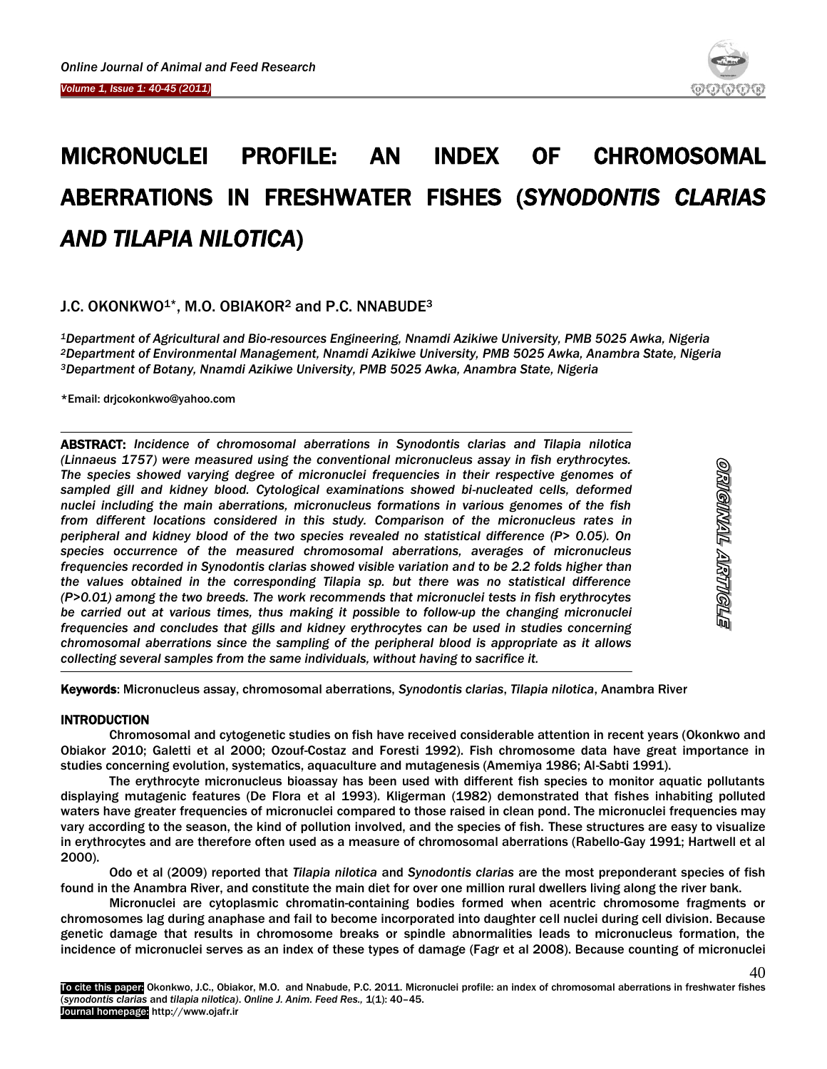

# MICRONUCLEI PROFILE: AN INDEX OF CHROMOSOMAL ABERRATIONS IN FRESHWATER FISHES (*SYNODONTIS CLARIAS AND TILAPIA NILOTICA*)

# J.C. OKONKWO1\*, M.O. OBIAKOR<sup>2</sup> and P.C. NNABUDE<sup>3</sup>

*<sup>1</sup>Department of Agricultural and Bio-resources Engineering, Nnamdi Azikiwe University, PMB 5025 Awka, Nigeria <sup>2</sup>Department of Environmental Management, Nnamdi Azikiwe University, PMB 5025 Awka, Anambra State, Nigeria <sup>3</sup>Department of Botany, Nnamdi Azikiwe University, PMB 5025 Awka, Anambra State, Nigeria*

\*Email: drjcokonkwo@yahoo.com

 $\overline{a}$ 

ABSTRACT: *Incidence of chromosomal aberrations in Synodontis clarias and Tilapia nilotica (Linnaeus 1757) were measured using the conventional micronucleus assay in fish erythrocytes. The species showed varying degree of micronuclei frequencies in their respective genomes of*  sampled gill and *kidney blood. Cytological examinations showed bi-nucleated cells, deformed nuclei including the main aberrations, micronucleus formations in various genomes of the fish from different locations considered in this study. Comparison of the micronucleus rates in peripheral and kidney blood of the two species revealed no statistical difference (P> 0.05). On species occurrence of the measured chromosomal aberrations, averages of micronucleus frequencies recorded in Synodontis clarias showed visible variation and to be 2.2 folds higher than the values obtained in the corresponding Tilapia sp. but there was no statistical difference (P>0.01) among the two breeds. The work recommends that micronuclei tests in fish erythrocytes*  be carried out at various times, thus making it possible to follow-up the changing micronuclei *frequencies and concludes that gills and kidney erythrocytes can be used in studies concerning chromosomal aberrations since the sampling of the peripheral blood is appropriate as it allows collecting several samples from the same individuals, without having to sacrifice it.*

40

Keywords: Micronucleus assay, chromosomal aberrations, *Synodontis clarias*, *Tilapia nilotica*, Anambra River

## INTRODUCTION

Chromosomal and cytogenetic studies on fish have received considerable attention in recent years (Okonkwo and Obiakor 2010; Galetti et al 2000; Ozouf-Costaz and Foresti 1992). Fish chromosome data have great importance in studies concerning evolution, systematics, aquaculture and mutagenesis (Amemiya 1986; Al-Sabti 1991).

The erythrocyte micronucleus bioassay has been used with different fish species to monitor aquatic pollutants displaying mutagenic features (De Flora et al 1993). Kligerman (1982) demonstrated that fishes inhabiting polluted waters have greater frequencies of micronuclei compared to those raised in clean pond. The micronuclei frequencies may vary according to the season, the kind of pollution involved, and the species of fish. These structures are easy to visualize in erythrocytes and are therefore often used as a measure of chromosomal aberrations (Rabello-Gay 1991; Hartwell et al 2000).

Odo et al (2009) reported that *Tilapia nilotica* and *Synodontis clarias* are the most preponderant species of fish found in the Anambra River, and constitute the main diet for over one million rural dwellers living along the river bank.

Micronuclei are cytoplasmic chromatin-containing bodies formed when acentric chromosome fragments or chromosomes lag during anaphase and fail to become incorporated into daughter cell nuclei during cell division. Because genetic damage that results in chromosome breaks or spindle abnormalities leads to micronucleus formation, the incidence of micronuclei serves as an index of these types of damage (Fagr et al 2008). Because counting of micronuclei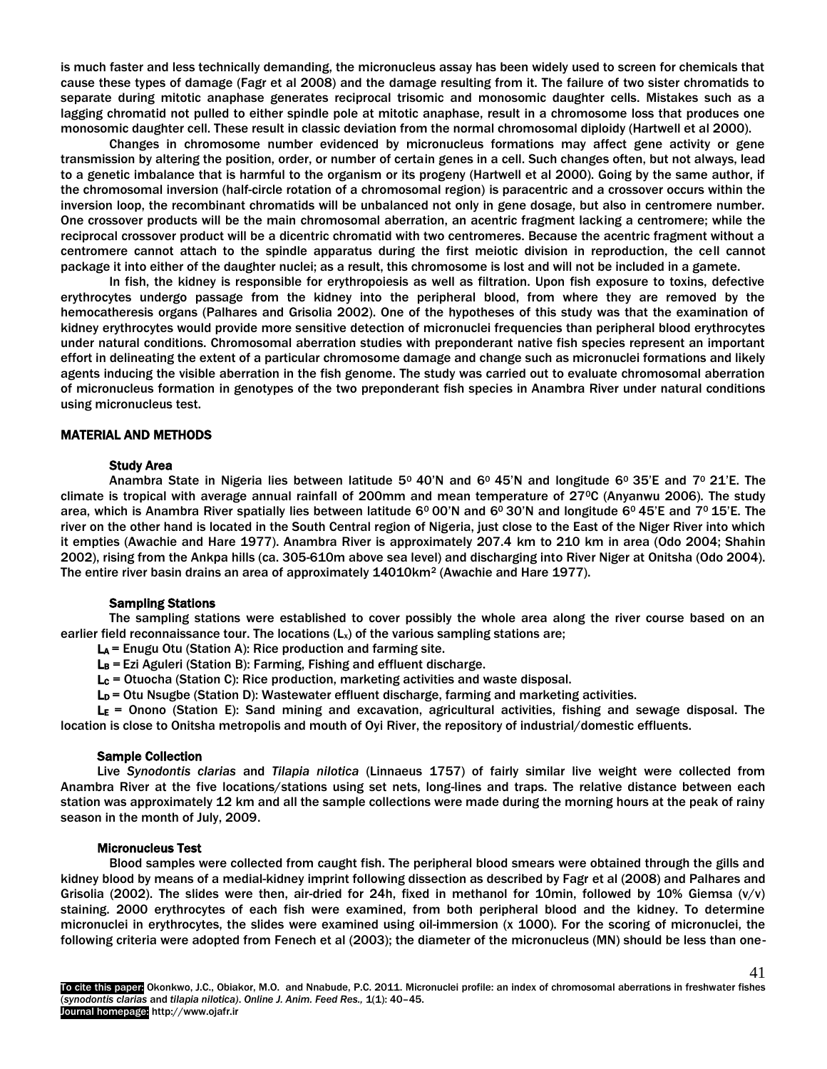is much faster and less technically demanding, the micronucleus assay has been widely used to screen for chemicals that cause these types of damage (Fagr et al 2008) and the damage resulting from it. The failure of two sister chromatids to separate during mitotic anaphase generates reciprocal trisomic and monosomic daughter cells. Mistakes such as a lagging chromatid not pulled to either spindle pole at mitotic anaphase, result in a chromosome loss that produces one monosomic daughter cell. These result in classic deviation from the normal chromosomal diploidy (Hartwell et al 2000).

Changes in chromosome number evidenced by micronucleus formations may affect gene activity or gene transmission by altering the position, order, or number of certain genes in a cell. Such changes often, but not always, lead to a genetic imbalance that is harmful to the organism or its progeny (Hartwell et al 2000). Going by the same author, if the chromosomal inversion (half-circle rotation of a chromosomal region) is paracentric and a crossover occurs within the inversion loop, the recombinant chromatids will be unbalanced not only in gene dosage, but also in centromere number. One crossover products will be the main chromosomal aberration, an acentric fragment lacking a centromere; while the reciprocal crossover product will be a dicentric chromatid with two centromeres. Because the acentric fragment without a centromere cannot attach to the spindle apparatus during the first meiotic division in reproduction, the cell cannot package it into either of the daughter nuclei; as a result, this chromosome is lost and will not be included in a gamete.

In fish, the kidney is responsible for erythropoiesis as well as filtration. Upon fish exposure to toxins, defective erythrocytes undergo passage from the kidney into the peripheral blood, from where they are removed by the hemocatheresis organs (Palhares and Grisolia 2002). One of the hypotheses of this study was that the examination of kidney erythrocytes would provide more sensitive detection of micronuclei frequencies than peripheral blood erythrocytes under natural conditions. Chromosomal aberration studies with preponderant native fish species represent an important effort in delineating the extent of a particular chromosome damage and change such as micronuclei formations and likely agents inducing the visible aberration in the fish genome. The study was carried out to evaluate chromosomal aberration of micronucleus formation in genotypes of the two preponderant fish species in Anambra River under natural conditions using micronucleus test.

#### MATERIAL AND METHODS

#### Study Area

Anambra State in Nigeria lies between latitude  $5^{\circ}$  40'N and  $6^{\circ}$  45'N and longitude  $6^{\circ}$  35'E and  $7^{\circ}$  21'E. The climate is tropical with average annual rainfall of 200mm and mean temperature of 270C (Anyanwu 2006). The study area, which is Anambra River spatially lies between latitude 6<sup>0</sup> 00'N and 6<sup>0</sup> 30'N and longitude 6<sup>0</sup> 45'E and 7<sup>0</sup> 15'E. The river on the other hand is located in the South Central region of Nigeria, just close to the East of the Niger River into which it empties (Awachie and Hare 1977). Anambra River is approximately 207.4 km to 210 km in area (Odo 2004; Shahin 2002), rising from the Ankpa hills (ca. 305-610m above sea level) and discharging into River Niger at Onitsha (Odo 2004). The entire river basin drains an area of approximately 14010km<sup>2</sup> (Awachie and Hare 1977).

#### Sampling Stations

The sampling stations were established to cover possibly the whole area along the river course based on an earlier field reconnaissance tour. The locations  $(L<sub>x</sub>)$  of the various sampling stations are;

 $La = Enugu Otu$  (Station A): Rice production and farming site.

 $L_B$  = Ezi Aguleri (Station B): Farming, Fishing and effluent discharge.

 $L_c$  = Otuocha (Station C): Rice production, marketing activities and waste disposal.

 $L<sub>D</sub>$  = Otu Nsugbe (Station D): Wastewater effluent discharge, farming and marketing activities.

 $L<sub>E</sub>$  = Onono (Station E): Sand mining and excavation, agricultural activities, fishing and sewage disposal. The location is close to Onitsha metropolis and mouth of Oyi River, the repository of industrial/domestic effluents.

## Sample Collection

Live *Synodontis clarias* and *Tilapia nilotica* (Linnaeus 1757) of fairly similar live weight were collected from Anambra River at the five locations/stations using set nets, long-lines and traps. The relative distance between each station was approximately 12 km and all the sample collections were made during the morning hours at the peak of rainy season in the month of July, 2009.

#### Micronucleus Test

Blood samples were collected from caught fish. The peripheral blood smears were obtained through the gills and kidney blood by means of a medial-kidney imprint following dissection as described by Fagr et al (2008) and Palhares and Grisolia (2002). The slides were then, air-dried for 24h, fixed in methanol for 10min, followed by 10% Giemsa  $(v/v)$ staining. 2000 erythrocytes of each fish were examined, from both peripheral blood and the kidney. To determine micronuclei in erythrocytes, the slides were examined using oil-immersion (x 1000). For the scoring of micronuclei, the following criteria were adopted from Fenech et al (2003); the diameter of the micronucleus (MN) should be less than one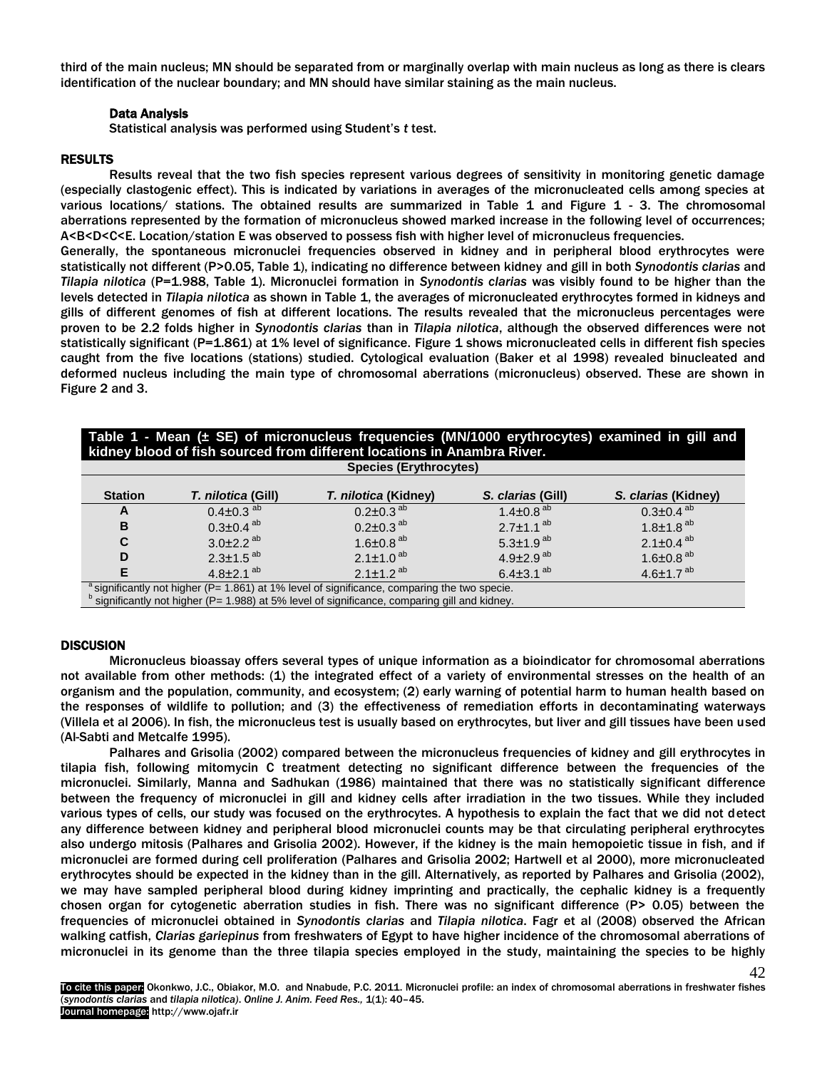third of the main nucleus; MN should be separated from or marginally overlap with main nucleus as long as there is clears identification of the nuclear boundary; and MN should have similar staining as the main nucleus.

# Data Analysis

Statistical analysis was performed using Student's *t* test.

# RESULTS

Results reveal that the two fish species represent various degrees of sensitivity in monitoring genetic damage (especially clastogenic effect). This is indicated by variations in averages of the micronucleated cells among species at various locations/ stations. The obtained results are summarized in Table 1 and Figure 1 - 3. The chromosomal aberrations represented by the formation of micronucleus showed marked increase in the following level of occurrences; A<B<D<C<E. Location/station E was observed to possess fish with higher level of micronucleus frequencies.

Generally, the spontaneous micronuclei frequencies observed in kidney and in peripheral blood erythrocytes were statistically not different (P>0.05, Table 1), indicating no difference between kidney and gill in both *Synodontis clarias* and *Tilapia nilotica* (P=1.988, Table 1). Micronuclei formation in *Synodontis clarias* was visibly found to be higher than the levels detected in *Tilapia nilotica* as shown in Table 1, the averages of micronucleated erythrocytes formed in kidneys and gills of different genomes of fish at different locations. The results revealed that the micronucleus percentages were proven to be 2.2 folds higher in *Synodontis clarias* than in *Tilapia nilotica*, although the observed differences were not statistically significant (P=1.861) at 1% level of significance. Figure 1 shows micronucleated cells in different fish species caught from the five locations (stations) studied. Cytological evaluation (Baker et al 1998) revealed binucleated and deformed nucleus including the main type of chromosomal aberrations (micronucleus) observed. These are shown in Figure 2 and 3.

| Table 1 - Mean ( $\pm$ SE) of micronucleus frequencies (MN/1000 erythrocytes) examined in gill and<br>kidney blood of fish sourced from different locations in Anambra River. |                           |                             |                   |                     |  |  |  |
|-------------------------------------------------------------------------------------------------------------------------------------------------------------------------------|---------------------------|-----------------------------|-------------------|---------------------|--|--|--|
| <b>Species (Erythrocytes)</b>                                                                                                                                                 |                           |                             |                   |                     |  |  |  |
| <b>Station</b>                                                                                                                                                                | <i>T. nilotica (Gill)</i> | <i>T. nilotica</i> (Kidney) | S. clarias (Gill) | S. clarias (Kidney) |  |  |  |
|                                                                                                                                                                               | - - - - ah                | -- - - - ah                 | . <b>.</b> 2h     | . ah                |  |  |  |

| otation                                                                                                 | ן <i>ו</i> ווטווט (שווו)    | <i>i . miouca</i> (Kidney)  | s. ciarias (Gill)           | 3. <i>Clarias</i> (Kidney)  |  |  |
|---------------------------------------------------------------------------------------------------------|-----------------------------|-----------------------------|-----------------------------|-----------------------------|--|--|
| A                                                                                                       | $0.4 \pm 0.3$ <sup>ab</sup> | $0.2 \pm 0.3$ <sup>ab</sup> | $1.4 \pm 0.8$ <sup>ab</sup> | $0.3 \pm 0.4$ <sup>ab</sup> |  |  |
| в                                                                                                       | $0.3 \pm 0.4$ <sup>ab</sup> | $0.2 \pm 0.3$ <sup>ab</sup> | $2.7 \pm 1.1$ <sup>ab</sup> | $1.8 \pm 1.8$ <sup>ab</sup> |  |  |
| C                                                                                                       | $3.0\pm2.2^{ab}$            | 1.6 $\pm$ 0.8 $^{ab}$       | 5.3 $\pm$ 1.9 <sup>ab</sup> | $2.1 \pm 0.4$ <sup>ab</sup> |  |  |
| D                                                                                                       | $2.3 \pm 1.5$ <sup>ab</sup> | $2.1 \pm 1.0^{ab}$          | 4.9 $\pm$ 2.9 <sup>ab</sup> | 1.6 $\pm$ 0.8 <sup>ab</sup> |  |  |
|                                                                                                         | $4.8 \pm 2.1$ <sup>ab</sup> | $2.1 \pm 1.2^{ab}$          | 6.4 $\pm$ 3.1 $^{ab}$       | 4.6 $\pm$ 1.7 <sup>ab</sup> |  |  |
| $^{\circ}$ cignificantly not bigher $(D - 1.961)$ at 1% level of cignificance comparing the two species |                             |                             |                             |                             |  |  |

<sup>a</sup> significantly not higher (P= 1.861) at 1% level of significance, comparing the two specie.<br><sup>b</sup> significantly not higher (P= 1.988) at 5% level of significance, comparing gill and kidney.

## **DISCUSION**

Micronucleus bioassay offers several types of unique information as a bioindicator for chromosomal aberrations not available from other methods: (1) the integrated effect of a variety of environmental stresses on the health of an organism and the population, community, and ecosystem; (2) early warning of potential harm to human health based on the responses of wildlife to pollution; and (3) the effectiveness of remediation efforts in decontaminating waterways (Villela et al 2006). In fish, the micronucleus test is usually based on erythrocytes, but liver and gill tissues have been used (Al-Sabti and Metcalfe 1995).

Palhares and Grisolia (2002) compared between the micronucleus frequencies of kidney and gill erythrocytes in tilapia fish, following mitomycin C treatment detecting no significant difference between the frequencies of the micronuclei. Similarly, Manna and Sadhukan (1986) maintained that there was no statistically significant difference between the frequency of micronuclei in gill and kidney cells after irradiation in the two tissues. While they included various types of cells, our study was focused on the erythrocytes. A hypothesis to explain the fact that we did not detect any difference between kidney and peripheral blood micronuclei counts may be that circulating peripheral erythrocytes also undergo mitosis (Palhares and Grisolia 2002). However, if the kidney is the main hemopoietic tissue in fish, and if micronuclei are formed during cell proliferation (Palhares and Grisolia 2002; Hartwell et al 2000), more micronucleated erythrocytes should be expected in the kidney than in the gill. Alternatively, as reported by Palhares and Grisolia (2002), we may have sampled peripheral blood during kidney imprinting and practically, the cephalic kidney is a frequently chosen organ for cytogenetic aberration studies in fish. There was no significant difference (P> 0.05) between the frequencies of micronuclei obtained in *Synodontis clarias* and *Tilapia nilotica*. Fagr et al (2008) observed the African walking catfish, *Clarias gariepinus* from freshwaters of Egypt to have higher incidence of the chromosomal aberrations of micronuclei in its genome than the three tilapia species employed in the study, maintaining the species to be highly

42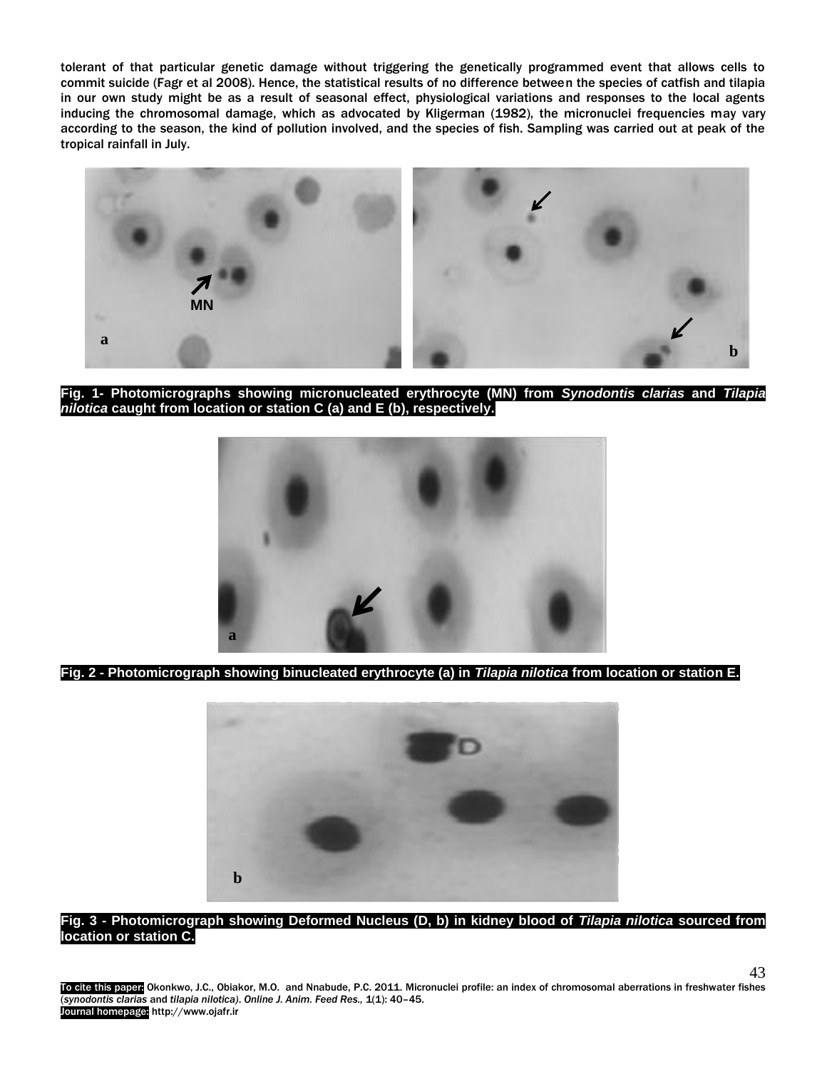tolerant of that particular genetic damage without triggering the genetically programmed event that allows cells to commit suicide (Fagr et al 2008). Hence, the statistical results of no difference between the species of catfish and tilapia in our own study might be as a result of seasonal effect, physiological variations and responses to the local agents inducing the chromosomal damage, which as advocated by Kligerman (1982), the micronuclei frequencies may vary according to the season, the kind of pollution involved, and the species of fish. Sampling was carried out at peak of the tropical rainfall in July.



**Fig. 1- Photomicrographs showing micronucleated erythrocyte (MN) from** *Synodontis clarias* **and** *Tilapia nilotica* **caught from location or station C (a) and E (b), respectively.**



**Fig. 2 - Photomicrograph showing binucleated erythrocyte (a) in** *Tilapia nilotica* **from location or station E.**



# **Fig. 3 - Photomicrograph showing Deformed Nucleus (D, b) in kidney blood of** *Tilapia nilotica* **sourced from location or station C.**

To cite this paper Okonkwo, J.C., Obiakor, M.O. and Nnabude, P.C. 2011. Micronuclei profile: an index of chromosomal aberrations in freshwater fishes (*synodontis clarias* and *tilapia nilotica)*. *Online J. Anim. Feed Res.,* 1(1): 40–45. Journal homepage: http://www.ojafr.ir

43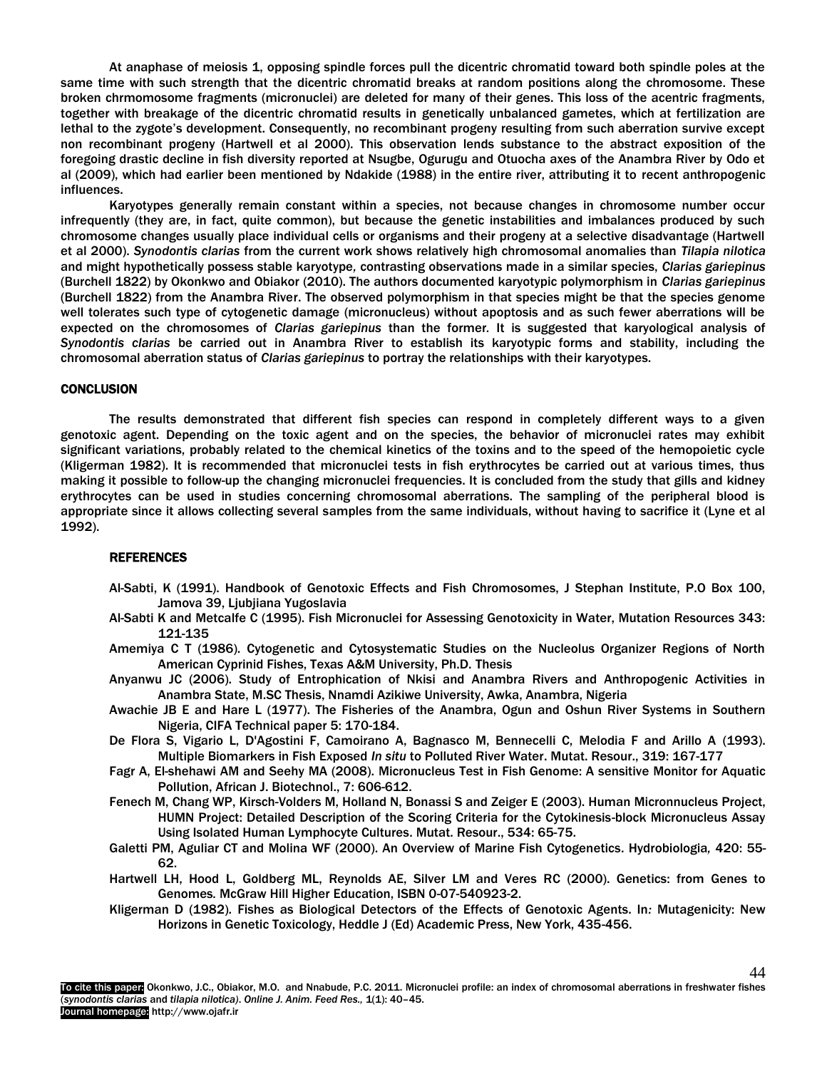At anaphase of meiosis 1, opposing spindle forces pull the dicentric chromatid toward both spindle poles at the same time with such strength that the dicentric chromatid breaks at random positions along the chromosome. These broken chrmomosome fragments (micronuclei) are deleted for many of their genes. This loss of the acentric fragments, together with breakage of the dicentric chromatid results in genetically unbalanced gametes, which at fertilization are lethal to the zygote's development. Consequently, no recombinant progeny resulting from such aberration survive except non recombinant progeny (Hartwell et al 2000). This observation lends substance to the abstract exposition of the foregoing drastic decline in fish diversity reported at Nsugbe, Ogurugu and Otuocha axes of the Anambra River by Odo et al (2009), which had earlier been mentioned by Ndakide (1988) in the entire river, attributing it to recent anthropogenic influences.

Karyotypes generally remain constant within a species, not because changes in chromosome number occur infrequently (they are, in fact, quite common), but because the genetic instabilities and imbalances produced by such chromosome changes usually place individual cells or organisms and their progeny at a selective disadvantage (Hartwell et al 2000). *Synodontis clarias* from the current work shows relatively high chromosomal anomalies than *Tilapia nilotica*  and might hypothetically possess stable karyotype*,* contrasting observations made in a similar species, *Clarias gariepinus* (Burchell 1822) by Okonkwo and Obiakor (2010). The authors documented karyotypic polymorphism in *Clarias gariepinus* (Burchell 1822) from the Anambra River. The observed polymorphism in that species might be that the species genome well tolerates such type of cytogenetic damage (micronucleus) without apoptosis and as such fewer aberrations will be expected on the chromosomes of *Clarias gariepinus* than the former*.* It is suggested that karyological analysis of *Synodontis clarias* be carried out in Anambra River to establish its karyotypic forms and stability, including the chromosomal aberration status of *Clarias gariepinus* to portray the relationships with their karyotypes.

#### **CONCLUSION**

The results demonstrated that different fish species can respond in completely different ways to a given genotoxic agent. Depending on the toxic agent and on the species, the behavior of micronuclei rates may exhibit significant variations, probably related to the chemical kinetics of the toxins and to the speed of the hemopoietic cycle (Kligerman 1982). It is recommended that micronuclei tests in fish erythrocytes be carried out at various times, thus making it possible to follow-up the changing micronuclei frequencies. It is concluded from the study that gills and kidney erythrocytes can be used in studies concerning chromosomal aberrations. The sampling of the peripheral blood is appropriate since it allows collecting several samples from the same individuals, without having to sacrifice it (Lyne et al 1992).

#### **REFERENCES**

- Al-Sabti, K (1991). Handbook of Genotoxic Effects and Fish Chromosomes, J Stephan Institute, P.O Box 100, Jamova 39, Ljubjiana Yugoslavia
- Al-Sabti K and Metcalfe C (1995). Fish Micronuclei for Assessing Genotoxicity in Water, Mutation Resources 343: 121-135
- Amemiya C T (1986). Cytogenetic and Cytosystematic Studies on the Nucleolus Organizer Regions of North American Cyprinid Fishes, Texas A&M University, Ph.D. Thesis
- Anyanwu JC (2006). Study of Entrophication of Nkisi and Anambra Rivers and Anthropogenic Activities in Anambra State, M.SC Thesis, Nnamdi Azikiwe University, Awka, Anambra, Nigeria
- Awachie JB E and Hare L (1977). The Fisheries of the Anambra, Ogun and Oshun River Systems in Southern Nigeria, CIFA Technical paper 5: 170-184.
- De Flora S, Vigario L, D'Agostini F, Camoirano A, Bagnasco M, Bennecelli C, Melodia F and Arillo A (1993). Multiple Biomarkers in Fish Exposed *In situ* to Polluted River Water. Mutat. Resour., 319: 167-177
- Fagr A, El-shehawi AM and Seehy MA (2008). Micronucleus Test in Fish Genome: A sensitive Monitor for Aquatic Pollution, African J. Biotechnol., 7: 606-612.
- Fenech M, Chang WP, Kirsch-Volders M, Holland N, Bonassi S and Zeiger E (2003). Human Micronnucleus Project, HUMN Project: Detailed Description of the Scoring Criteria for the Cytokinesis-block Micronucleus Assay Using Isolated Human Lymphocyte Cultures. Mutat. Resour., 534: 65-75.
- Galetti PM, Aguliar CT and Molina WF (2000). An Overview of Marine Fish Cytogenetics. Hydrobiologia*,* 420: 55- 62.
- Hartwell LH, Hood L, Goldberg ML, Reynolds AE, Silver LM and Veres RC (2000). Genetics: from Genes to Genomes*.* McGraw Hill Higher Education, ISBN 0-07-540923-2.
- Kligerman D (1982). Fishes as Biological Detectors of the Effects of Genotoxic Agents. In*:* Mutagenicity: New Horizons in Genetic Toxicology, Heddle J (Ed) Academic Press, New York, 435-456.